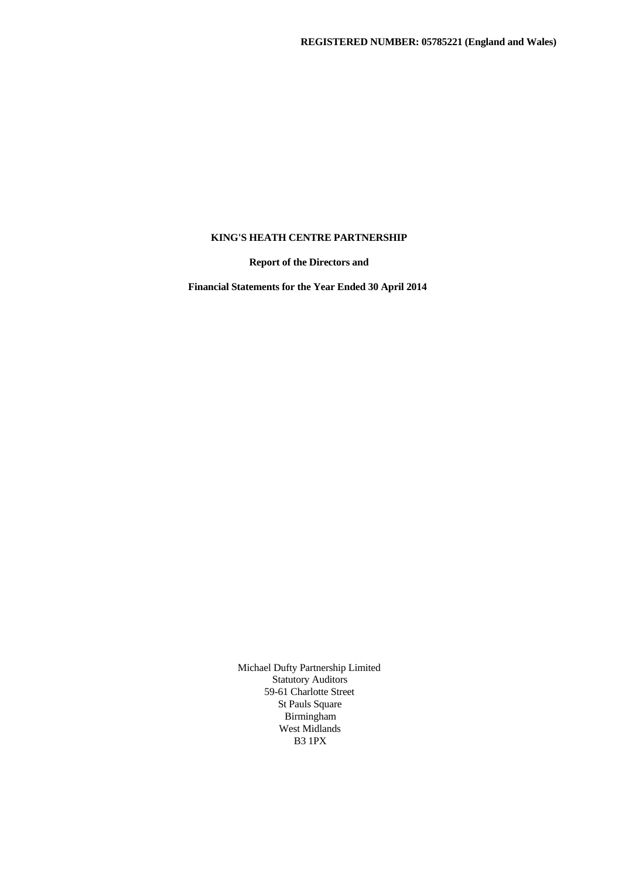**Report of the Directors and**

**Financial Statements for the Year Ended 30 April 2014**

Michael Dufty Partnership Limited Statutory Auditors 59-61 Charlotte Street St Pauls Square Birmingham West Midlands B3 1PX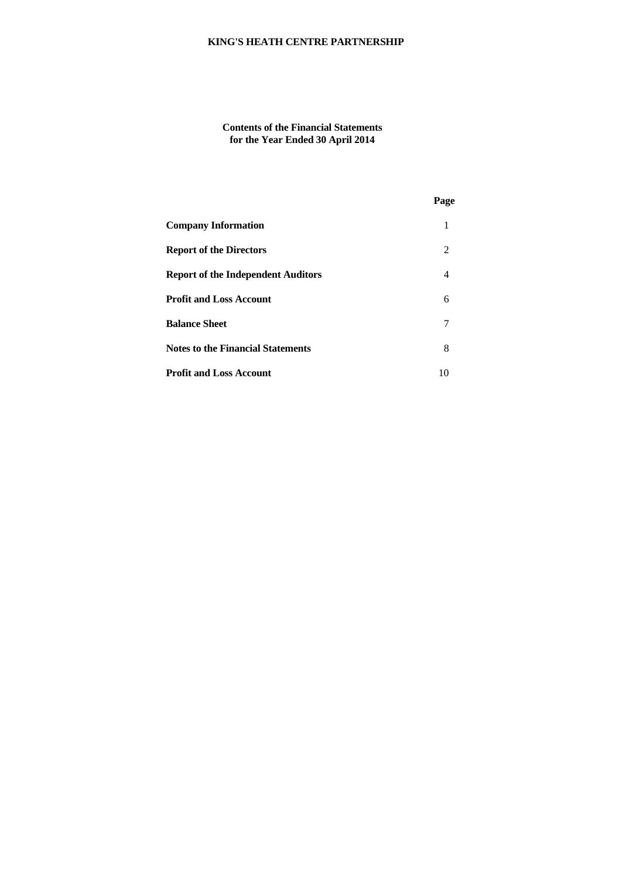**Contents of the Financial Statements for the Year Ended 30 April 2014**

|                                           | Page           |  |
|-------------------------------------------|----------------|--|
| <b>Company Information</b>                | 1              |  |
| <b>Report of the Directors</b>            | 2              |  |
| <b>Report of the Independent Auditors</b> | $\overline{4}$ |  |
| <b>Profit and Loss Account</b>            | 6              |  |
| <b>Balance Sheet</b>                      | 7              |  |
| <b>Notes to the Financial Statements</b>  | 8              |  |
| <b>Profit and Loss Account</b>            | 10             |  |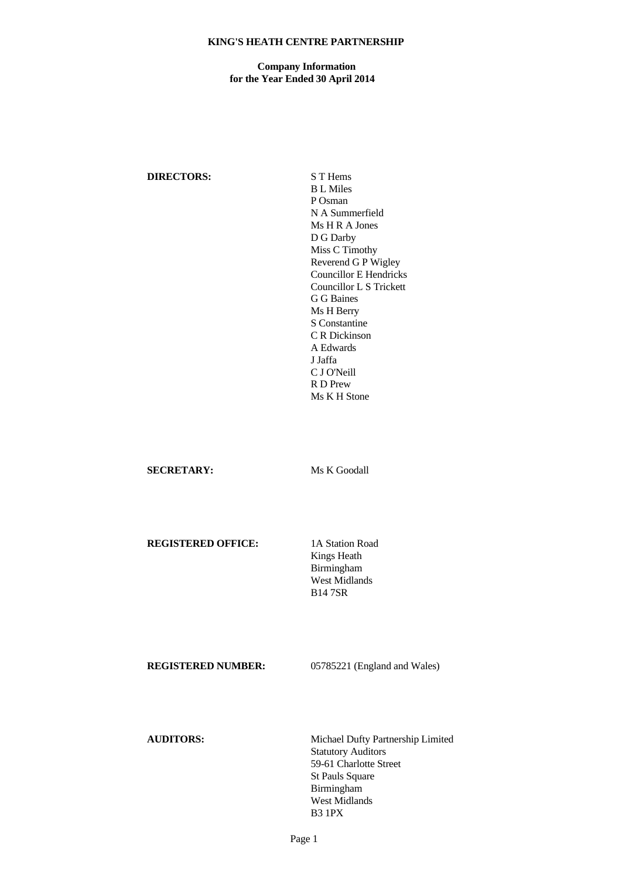# **Company Information for the Year Ended 30 April 2014**

## **DIRECTORS:** S T Hems

B L Miles P Osman N A Summerfield Ms H R A Jones D G Darby Miss C Timothy Reverend G P Wigley Councillor E Hendricks Councillor L S Trickett G G Baines Ms H Berry S Constantine C R Dickinson A Edwards J Jaffa C J O'Neill R D Prew Ms K H Stone

# **SECRETARY:** Ms K Goodall

# **REGISTERED OFFICE:** 1A Station Road

Kings Heath Birmingham West Midlands B14 7SR

**REGISTERED NUMBER:** 05785221 (England and Wales)

**AUDITORS:** Michael Dufty Partnership Limited Statutory Auditors 59-61 Charlotte Street St Pauls Square Birmingham West Midlands B3 1PX

Page 1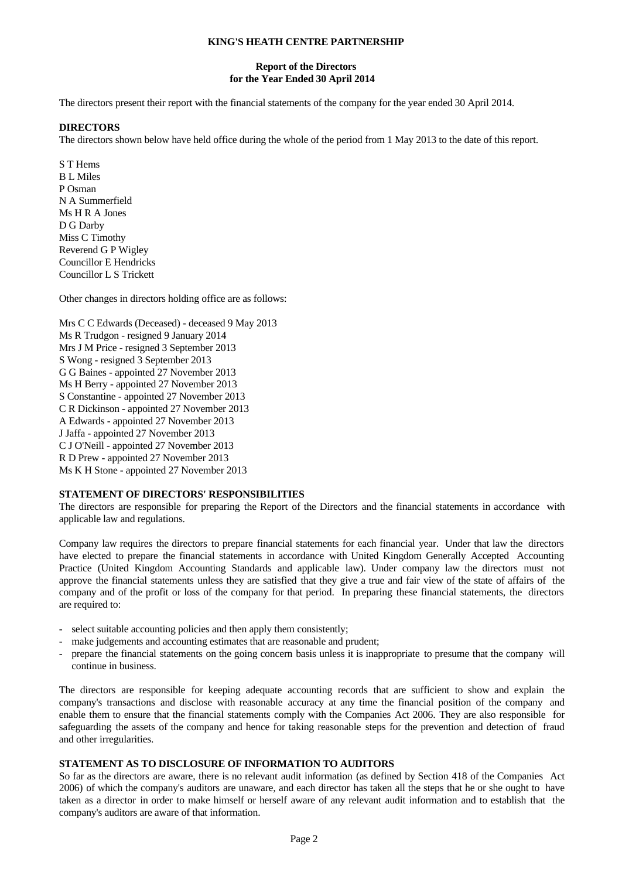## **Report of the Directors for the Year Ended 30 April 2014**

The directors present their report with the financial statements of the company for the year ended 30 April 2014.

# **DIRECTORS**

The directors shown below have held office during the whole of the period from 1 May 2013 to the date of this report.

S T Hems B L Miles P Osman N A Summerfield Ms H R A Jones D G Darby Miss C Timothy Reverend G P Wigley Councillor E Hendricks Councillor L S Trickett

Other changes in directors holding office are as follows:

Mrs C C Edwards (Deceased) - deceased 9 May 2013 Ms R Trudgon - resigned 9 January 2014 Mrs J M Price - resigned 3 September 2013 S Wong - resigned 3 September 2013 G G Baines - appointed 27 November 2013 Ms H Berry - appointed 27 November 2013 S Constantine - appointed 27 November 2013 C R Dickinson - appointed 27 November 2013 A Edwards - appointed 27 November 2013 J Jaffa - appointed 27 November 2013 C J O'Neill - appointed 27 November 2013 R D Prew - appointed 27 November 2013 Ms K H Stone - appointed 27 November 2013

# **STATEMENT OF DIRECTORS' RESPONSIBILITIES**

The directors are responsible for preparing the Report of the Directors and the financial statements in accordance with applicable law and regulations.

Company law requires the directors to prepare financial statements for each financial year. Under that law the directors have elected to prepare the financial statements in accordance with United Kingdom Generally Accepted Accounting Practice (United Kingdom Accounting Standards and applicable law). Under company law the directors must not approve the financial statements unless they are satisfied that they give a true and fair view of the state of affairs of the company and of the profit or loss of the company for that period. In preparing these financial statements, the directors The required to:<br>
- select suitable accounting policies and then apply them consistently;<br>
- make judgements and accounting estimates that are reasonable and prudent;<br>
- prepare the financial statements on the going concer

- 
- 
- continue in business.

The directors are responsible for keeping adequate accounting records that are sufficient to show and explain the company's transactions and disclose with reasonable accuracy at any time the financial position of the company and enable them to ensure that the financial statements comply with the Companies Act 2006. They are also responsible for safeguarding the assets of the company and hence for taking reasonable steps for the prevention and detection of fraud and other irregularities.

#### **STATEMENT AS TO DISCLOSURE OF INFORMATION TO AUDITORS**

So far as the directors are aware, there is no relevant audit information (as defined by Section 418 of the Companies Act 2006) of which the company's auditors are unaware, and each director has taken all the steps that he or she ought to have taken as a director in order to make himself or herself aware of any relevant audit information and to establish that the company's auditors are aware of that information.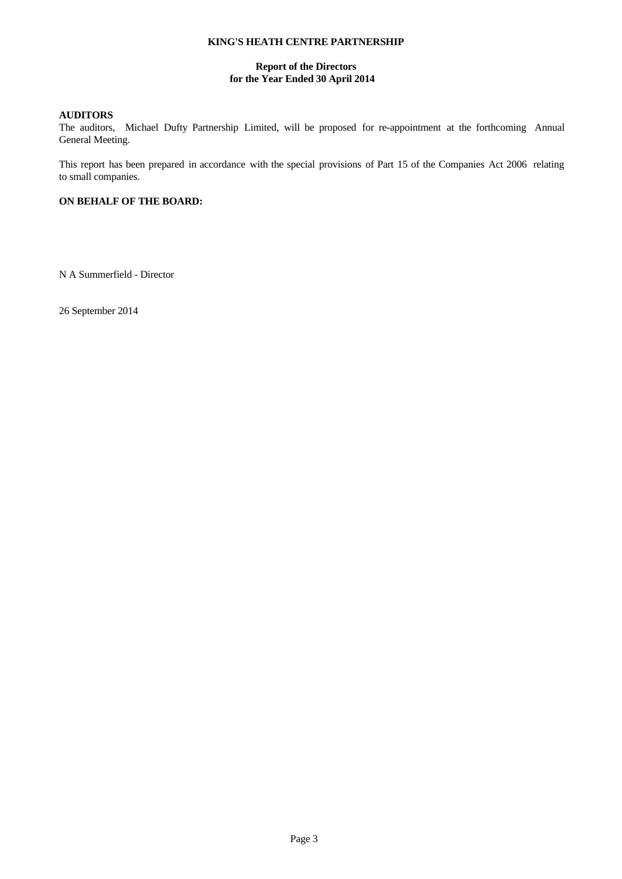# **Report of the Directors for the Year Ended 30 April 2014**

# **AUDITORS**

The auditors, Michael Dufty Partnership Limited, will be proposed for re-appointment at the forthcoming Annual General Meeting.

This report has been prepared in accordance with the special provisions of Part 15 of the Companies Act 2006 relating to small companies.

# **ON BEHALF OF THE BOARD:**

N A Summerfield - Director

26 September 2014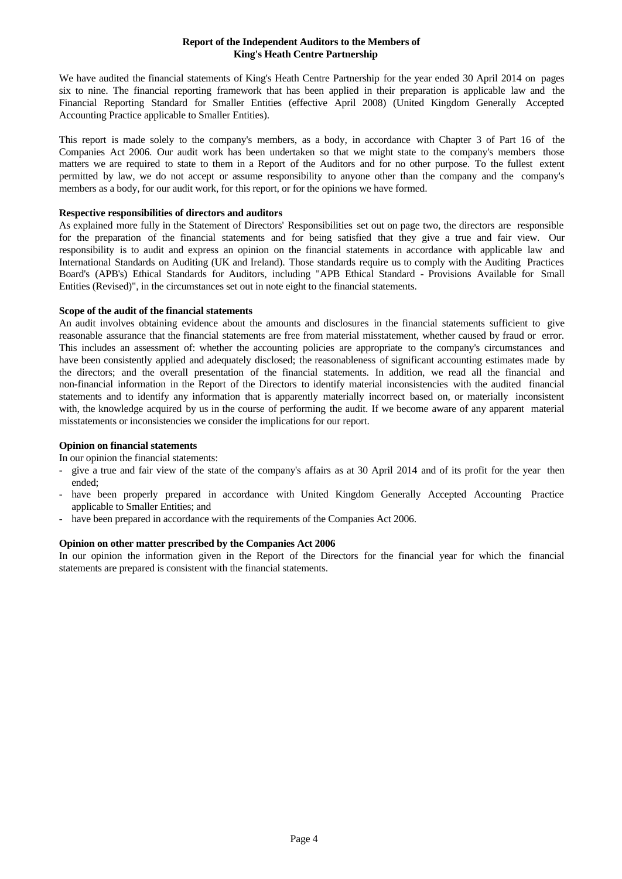## **Report of the Independent Auditors to the Members of King's Heath Centre Partnership**

We have audited the financial statements of King's Heath Centre Partnership for the year ended 30 April 2014 on pages six to nine. The financial reporting framework that has been applied in their preparation is applicable law and the Financial Reporting Standard for Smaller Entities (effective April 2008) (United Kingdom Generally Accepted Accounting Practice applicable to Smaller Entities).

This report is made solely to the company's members, as a body, in accordance with Chapter 3 of Part 16 of the Companies Act 2006. Our audit work has been undertaken so that we might state to the company's members those matters we are required to state to them in a Report of the Auditors and for no other purpose. To the fullest extent permitted by law, we do notaccept or assume responsibility to anyone other than the company and the company's members as a body, for our audit work, for this report, or for the opinions we have formed.

# **Respective responsibilities of directors and auditors**

As explained more fully in the Statement of Directors' Responsibilities set out on page two, the directors are responsible for the preparation of the financial statements and for being satisfied that they give a true and fair view. Our responsibility is to audit and express an opinion on the financial statements in accordance with applicable law and International Standards on Auditing (UK and Ireland). Those standards require us to comply with the Auditing Practices Board's (APB's) Ethical Standards for Auditors, including "APB Ethical Standard - Provisions Available for Small Entities (Revised)", in the circumstances set out in note eight to the financial statements.

#### **Scope of the audit of the financial statements**

An audit involves obtaining evidence about the amounts and disclosures in the financial statements sufficient to give reasonable assurance that the financial statements are free from material misstatement, whether caused by fraud or error. This includes an assessment of: whether the accounting policies are appropriate to the company's circumstances and have been consistently applied and adequately disclosed; the reasonableness of significant accounting estimates made by the directors; and the overall presentation of the financial statements. In addition, we read all the financial and non-financial information in the Report of the Directors to identify material inconsistencies with the audited financial statements and to identify any information that is apparently materially incorrect based on, or materially inconsistent with, the knowledge acquired by us in the course of performing the audit. If we become aware of any apparent material misstatements or inconsistencies we consider the implications for our report.

# **Opinion on financial statements**

- In our opinion the financial statements:<br>- give a true and fair view of the state of the company's affairs as at 30 April 2014 and of its profit for the year then ended;<br>have been properly prepared in accordance with United Kingdom Generally Accepted Accounting Practice
- applicable to Smaller Entities; and have been prepared in accordance with the requirements of the Companies Act 2006.
- 

#### **Opinion on other matter prescribed by the Companies Act 2006**

In our opinion the information given in the Report of the Directors for the financial year for which the financial statements are prepared is consistent with the financial statements.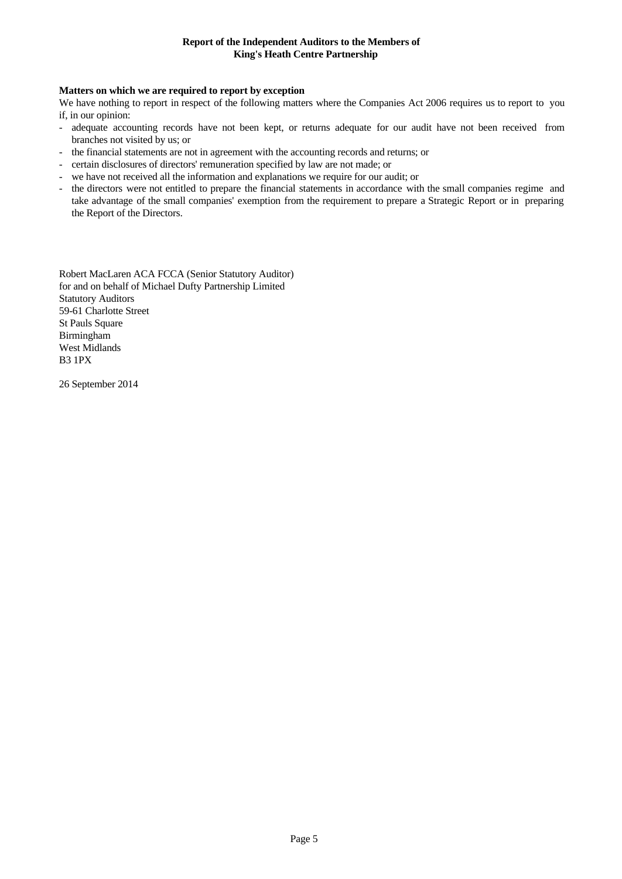#### **Report of the Independent Auditors to the Members of King's Heath Centre Partnership**

# **Matters on which we are required to report by exception**

We have nothing to report in respect of the following matters where the Companies Act 2006 requires us to report to you

- if, in our opinion:<br>- adequate accounting records have not been kept, or returns adequate for our audit have not been received from
- 
- 
- 
- branches not visited by us; or<br>the financial statements are not in agreement with the accounting records and returns; or<br>certain disclosures of directors' remuneration specified by law are not made; or<br>we have not received take advantage of the small companies' exemption from the requirement to prepare a Strategic Report or in preparing the Report of the Directors.

Robert MacLaren ACA FCCA (Senior Statutory Auditor) for and on behalf of Michael Dufty Partnership Limited Statutory Auditors 59-61 Charlotte Street St Pauls Square Birmingham West Midlands B3 1PX

26 September 2014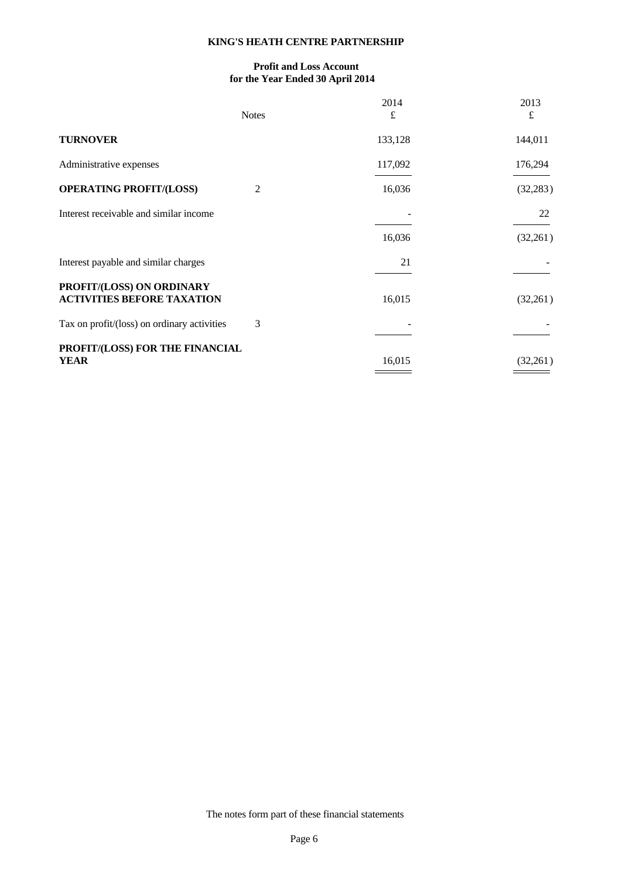# **Profit and Loss Account for the Year Ended 30 April 2014**

|                                                                | <b>Notes</b> | 2014<br>£ | 2013<br>£ |
|----------------------------------------------------------------|--------------|-----------|-----------|
| <b>TURNOVER</b>                                                |              | 133,128   | 144,011   |
| Administrative expenses                                        |              | 117,092   | 176,294   |
| <b>OPERATING PROFIT/(LOSS)</b>                                 | 2            | 16,036    | (32, 283) |
| Interest receivable and similar income                         |              |           | 22        |
|                                                                |              | 16,036    | (32,261)  |
| Interest payable and similar charges                           |              | 21        |           |
| PROFIT/(LOSS) ON ORDINARY<br><b>ACTIVITIES BEFORE TAXATION</b> |              | 16,015    | (32,261)  |
| Tax on profit/(loss) on ordinary activities                    | 3            |           |           |
| PROFIT/(LOSS) FOR THE FINANCIAL<br>YEAR                        |              | 16,015    | (32,261)  |

The notes form part of these financial statements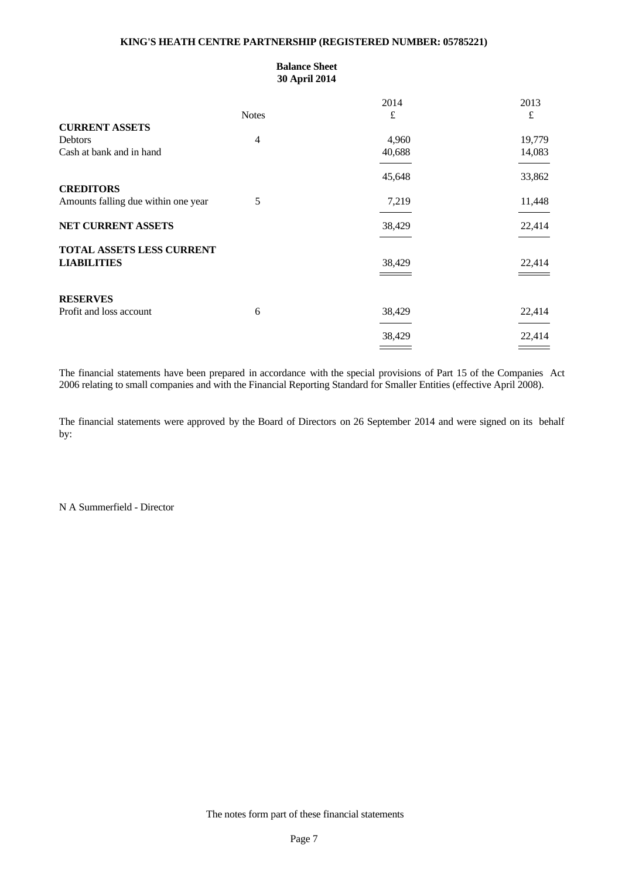# **KING'S HEATH CENTRE PARTNERSHIP (REGISTERED NUMBER: 05785221)**

# **Balance Sheet 30 April 2014**

|                                     |              | 2014   | 2013   |
|-------------------------------------|--------------|--------|--------|
|                                     | <b>Notes</b> | £      | £      |
| <b>CURRENT ASSETS</b>               |              |        |        |
| Debtors                             | 4            | 4,960  | 19,779 |
| Cash at bank and in hand            |              | 40,688 | 14,083 |
|                                     |              | 45,648 | 33,862 |
| <b>CREDITORS</b>                    |              |        |        |
| Amounts falling due within one year | 5            | 7,219  | 11,448 |
| NET CURRENT ASSETS                  |              | 38,429 | 22,414 |
| TOTAL ASSETS LESS CURRENT           |              |        |        |
| <b>LIABILITIES</b>                  |              | 38,429 | 22,414 |
|                                     |              |        |        |
| <b>RESERVES</b>                     |              |        |        |
| Profit and loss account             | 6            | 38,429 | 22,414 |
|                                     |              | 38,429 | 22,414 |
|                                     |              |        |        |

The financial statements have been prepared in accordance with the special provisions of Part 15 of the Companies Act 2006 relating to small companies and with the Financial Reporting Standard for Smaller Entities (effective April 2008).

The financial statements were approved by the Board of Directors on 26 September 2014 and were signed on its behalf by:

N A Summerfield - Director

The notes form part of these financial statements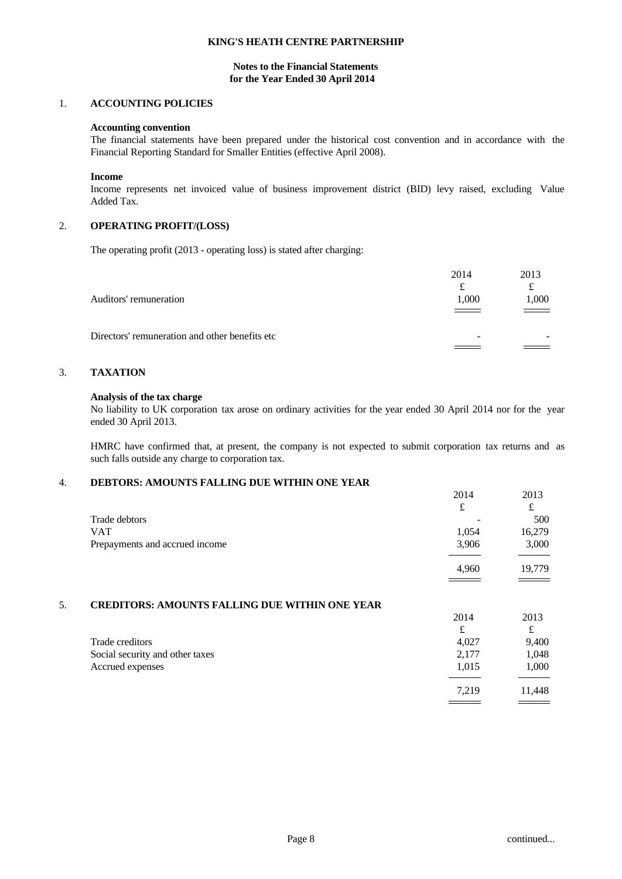# **Notes to the Financial Statements for the Year Ended 30 April 2014**

#### 1. **ACCOUNTING POLICIES**

# **Accounting convention**

The financial statements have been prepared under the historical cost convention and in accordance with the Financial Reporting Standard for Smaller Entities (effective April 2008).

#### **Income**

Income represents net invoiced value of business improvement district (BID) levy raised, excluding Value Added Tax.

# 2. **OPERATING PROFIT/(LOSS)**

The operating profit (2013 - operating loss) is stated after charging:

|                                                 | 2014<br>£                           | 2013<br>t                        |  |
|-------------------------------------------------|-------------------------------------|----------------------------------|--|
| Auditors' remuneration                          | 1,000<br>$\equiv$ $\equiv$ $\equiv$ | 1,000<br>$\qquad \qquad =\qquad$ |  |
|                                                 |                                     |                                  |  |
| Directors' remuneration and other benefits etc. | ۰                                   | $\overline{\phantom{a}}$         |  |

# 3. **TAXATION**

#### **Analysis of the tax charge**

No liability to UK corporation tax arose on ordinary activities for the year ended 30 April 2014 nor forthe year ended 30 April 2013.

HMRC have confirmed that, at present, the company is not expected to submit corporation tax returns and as such falls outside any charge to corporation tax.

# 4. **DEBTORS: AMOUNTS FALLING DUE WITHIN ONE YEAR**

|                                                       | 2014  | 2013   |
|-------------------------------------------------------|-------|--------|
|                                                       | £     | £      |
| Trade debtors                                         |       | 500    |
| <b>VAT</b>                                            | 1,054 | 16,279 |
| Prepayments and accrued income                        | 3,906 | 3,000  |
|                                                       | 4,960 | 19,779 |
|                                                       |       |        |
| <b>CREDITORS: AMOUNTS FALLING DUE WITHIN ONE YEAR</b> |       |        |
|                                                       | 2014  | 2013   |
|                                                       | £     | £      |
| Trade creditors                                       | 4,027 | 9,400  |
| Social security and other taxes                       | 2,177 | 1,048  |
| Accrued expenses                                      | 1,015 | 1,000  |

7,219 11,448

 $\overline{\phantom{0}}$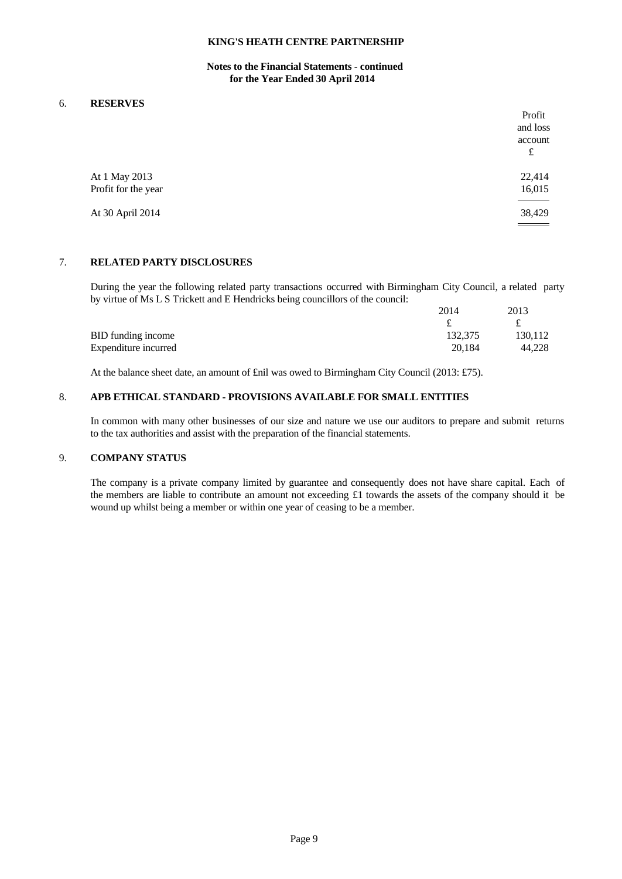# **Notes to the Financial Statements - continued for the Year Ended 30 April 2014**

# 6. **RESERVES**

|                     | Profit   |
|---------------------|----------|
|                     | and loss |
|                     | account  |
|                     | £        |
|                     |          |
| At 1 May 2013       | 22,414   |
| Profit for the year | 16,015   |
|                     |          |
| At 30 April 2014    | 38,429   |
|                     |          |

#### 7. **RELATED PARTY DISCLOSURES**

During the year the following related party transactions occurred with Birmingham City Council, a related party by virtue of Ms L S Trickett and E Hendricks being councillors of the council:

| 2014    | 2013    |
|---------|---------|
|         |         |
| 132,375 | 130.112 |
| 20.184  | 44.228  |
|         |         |

At the balance sheet date, an amount of £nil was owed to Birmingham City Council (2013: £75).

# 8. **APB ETHICAL STANDARD - PROVISIONS AVAILABLE FOR SMALL ENTITIES**

In common with many other businesses of our size and nature we use our auditors to prepare and submit returns to the tax authorities and assist with the preparation of the financial statements.

# 9. **COMPANY STATUS**

The company is a private company limited by guarantee and consequently does not have share capital. Each of the members are liable to contribute an amount not exceeding  $\pounds$ 1 towards the assets of the company should it be wound up whilst being a member or within one year of ceasing to be a member.